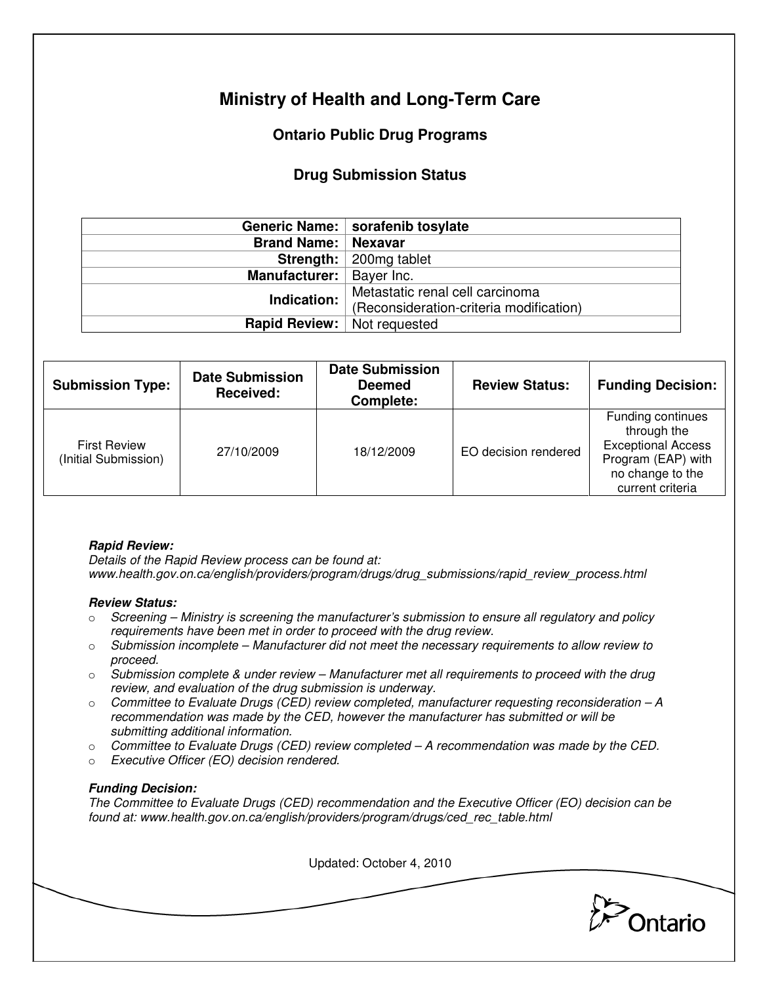# **Ministry of Health and Long-Term Care**

## **Ontario Public Drug Programs**

### **Drug Submission Status**

|                                    | Generic Name:   sorafenib tosylate      |
|------------------------------------|-----------------------------------------|
| <b>Brand Name:   Nexavar</b>       |                                         |
|                                    | <b>Strength:</b>   200mg tablet         |
| Manufacturer:   Bayer Inc.         |                                         |
| Indication:                        | Metastatic renal cell carcinoma         |
|                                    | (Reconsideration-criteria modification) |
| <b>Rapid Review:</b> Not requested |                                         |

| <b>Submission Type:</b>                     | <b>Date Submission</b><br>Received: | <b>Date Submission</b><br><b>Deemed</b><br><b>Complete:</b> | <b>Review Status:</b> | <b>Funding Decision:</b>                                                                                                    |
|---------------------------------------------|-------------------------------------|-------------------------------------------------------------|-----------------------|-----------------------------------------------------------------------------------------------------------------------------|
| <b>First Review</b><br>(Initial Submission) | 27/10/2009                          | 18/12/2009                                                  | EO decision rendered  | Funding continues<br>through the<br><b>Exceptional Access</b><br>Program (EAP) with<br>no change to the<br>current criteria |

#### **Rapid Review:**

Details of the Rapid Review process can be found at: www.health.gov.on.ca/english/providers/program/drugs/drug\_submissions/rapid\_review\_process.html

#### **Review Status:**

- $\circ$  Screening Ministry is screening the manufacturer's submission to ensure all regulatory and policy requirements have been met in order to proceed with the drug review.
- $\circ$  Submission incomplete Manufacturer did not meet the necessary requirements to allow review to proceed.
- $\circ$  Submission complete & under review Manufacturer met all requirements to proceed with the drug review, and evaluation of the drug submission is underway.
- $\circ$  Committee to Evaluate Drugs (CED) review completed, manufacturer requesting reconsideration  $-A$ recommendation was made by the CED, however the manufacturer has submitted or will be submitting additional information.
- $\circ$  Committee to Evaluate Drugs (CED) review completed  $-A$  recommendation was made by the CED.
- o Executive Officer (EO) decision rendered.

#### **Funding Decision:**

The Committee to Evaluate Drugs (CED) recommendation and the Executive Officer (EO) decision can be found at: www.health.gov.on.ca/english/providers/program/drugs/ced\_rec\_table.html

| Updated: October 4, 2010 |         |
|--------------------------|---------|
|                          |         |
|                          | Ontario |